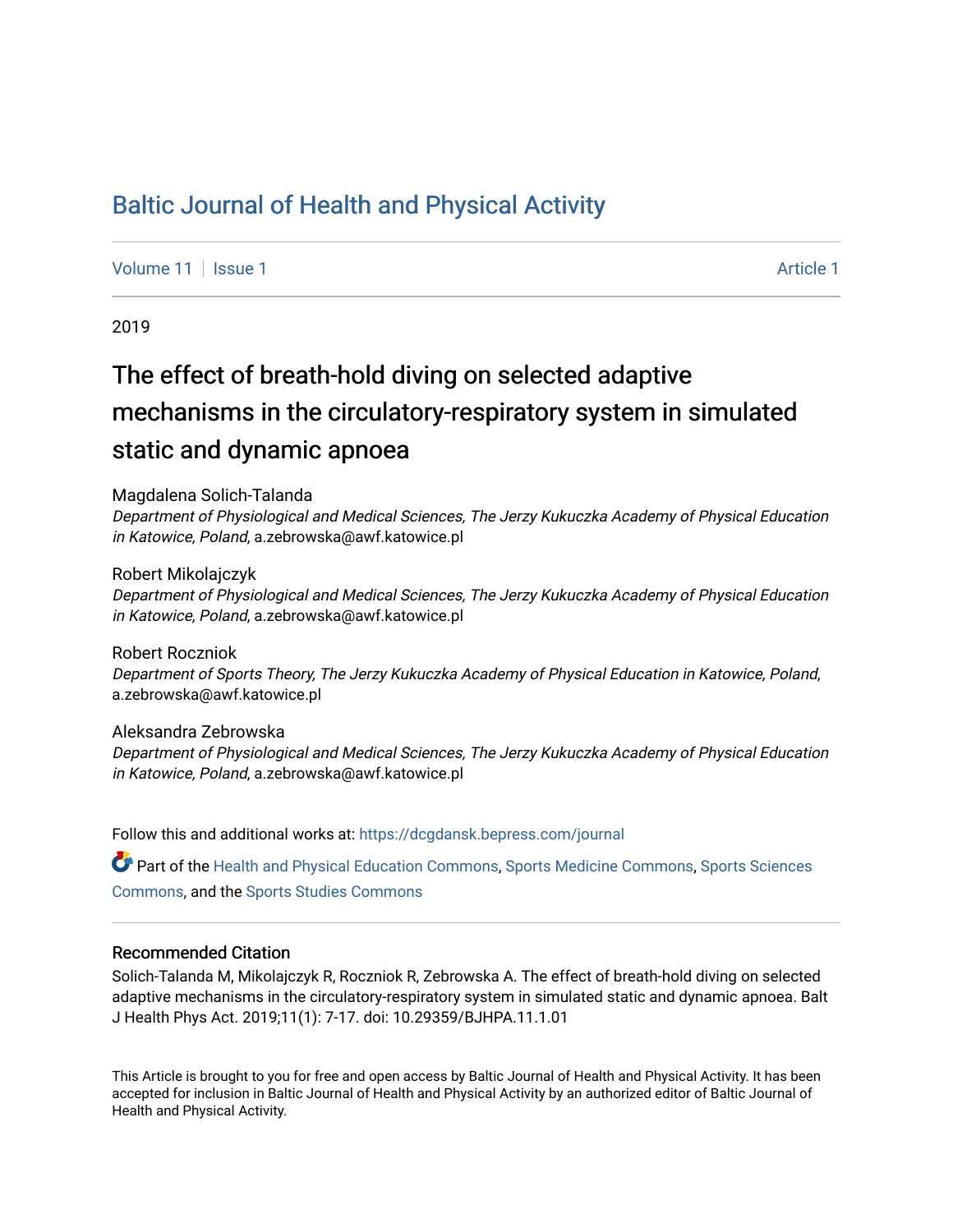# [Baltic Journal of Health and Physical Activity](https://dcgdansk.bepress.com/journal)

[Volume 11](https://dcgdansk.bepress.com/journal/vol11) | [Issue 1](https://dcgdansk.bepress.com/journal/vol11/iss1) [Article 1](https://dcgdansk.bepress.com/journal/vol11/iss1/1) Article 1 Article 1 Article 1 Article 1 Article 1 Article 1 Article 1 Article 1

2019

# The effect of breath-hold diving on selected adaptive mechanisms in the circulatory-respiratory system in simulated static and dynamic apnoea

Magdalena Solich-Talanda

Department of Physiological and Medical Sciences, The Jerzy Kukuczka Academy of Physical Education in Katowice, Poland, a.zebrowska@awf.katowice.pl

Robert Mikolajczyk

Department of Physiological and Medical Sciences, The Jerzy Kukuczka Academy of Physical Education in Katowice, Poland, a.zebrowska@awf.katowice.pl

Robert Roczniok Department of Sports Theory, The Jerzy Kukuczka Academy of Physical Education in Katowice, Poland, a.zebrowska@awf.katowice.pl

Aleksandra Zebrowska Department of Physiological and Medical Sciences, The Jerzy Kukuczka Academy of Physical Education in Katowice, Poland, a.zebrowska@awf.katowice.pl

Follow this and additional works at: [https://dcgdansk.bepress.com/journal](https://dcgdansk.bepress.com/journal?utm_source=dcgdansk.bepress.com%2Fjournal%2Fvol11%2Fiss1%2F1&utm_medium=PDF&utm_campaign=PDFCoverPages)

Part of the [Health and Physical Education Commons](http://network.bepress.com/hgg/discipline/1327?utm_source=dcgdansk.bepress.com%2Fjournal%2Fvol11%2Fiss1%2F1&utm_medium=PDF&utm_campaign=PDFCoverPages), [Sports Medicine Commons,](http://network.bepress.com/hgg/discipline/1331?utm_source=dcgdansk.bepress.com%2Fjournal%2Fvol11%2Fiss1%2F1&utm_medium=PDF&utm_campaign=PDFCoverPages) [Sports Sciences](http://network.bepress.com/hgg/discipline/759?utm_source=dcgdansk.bepress.com%2Fjournal%2Fvol11%2Fiss1%2F1&utm_medium=PDF&utm_campaign=PDFCoverPages) [Commons](http://network.bepress.com/hgg/discipline/759?utm_source=dcgdansk.bepress.com%2Fjournal%2Fvol11%2Fiss1%2F1&utm_medium=PDF&utm_campaign=PDFCoverPages), and the [Sports Studies Commons](http://network.bepress.com/hgg/discipline/1198?utm_source=dcgdansk.bepress.com%2Fjournal%2Fvol11%2Fiss1%2F1&utm_medium=PDF&utm_campaign=PDFCoverPages) 

#### Recommended Citation

Solich-Talanda M, Mikolajczyk R, Roczniok R, Zebrowska A. The effect of breath-hold diving on selected adaptive mechanisms in the circulatory-respiratory system in simulated static and dynamic apnoea. Balt J Health Phys Act. 2019;11(1): 7-17. doi: 10.29359/BJHPA.11.1.01

This Article is brought to you for free and open access by Baltic Journal of Health and Physical Activity. It has been accepted for inclusion in Baltic Journal of Health and Physical Activity by an authorized editor of Baltic Journal of Health and Physical Activity.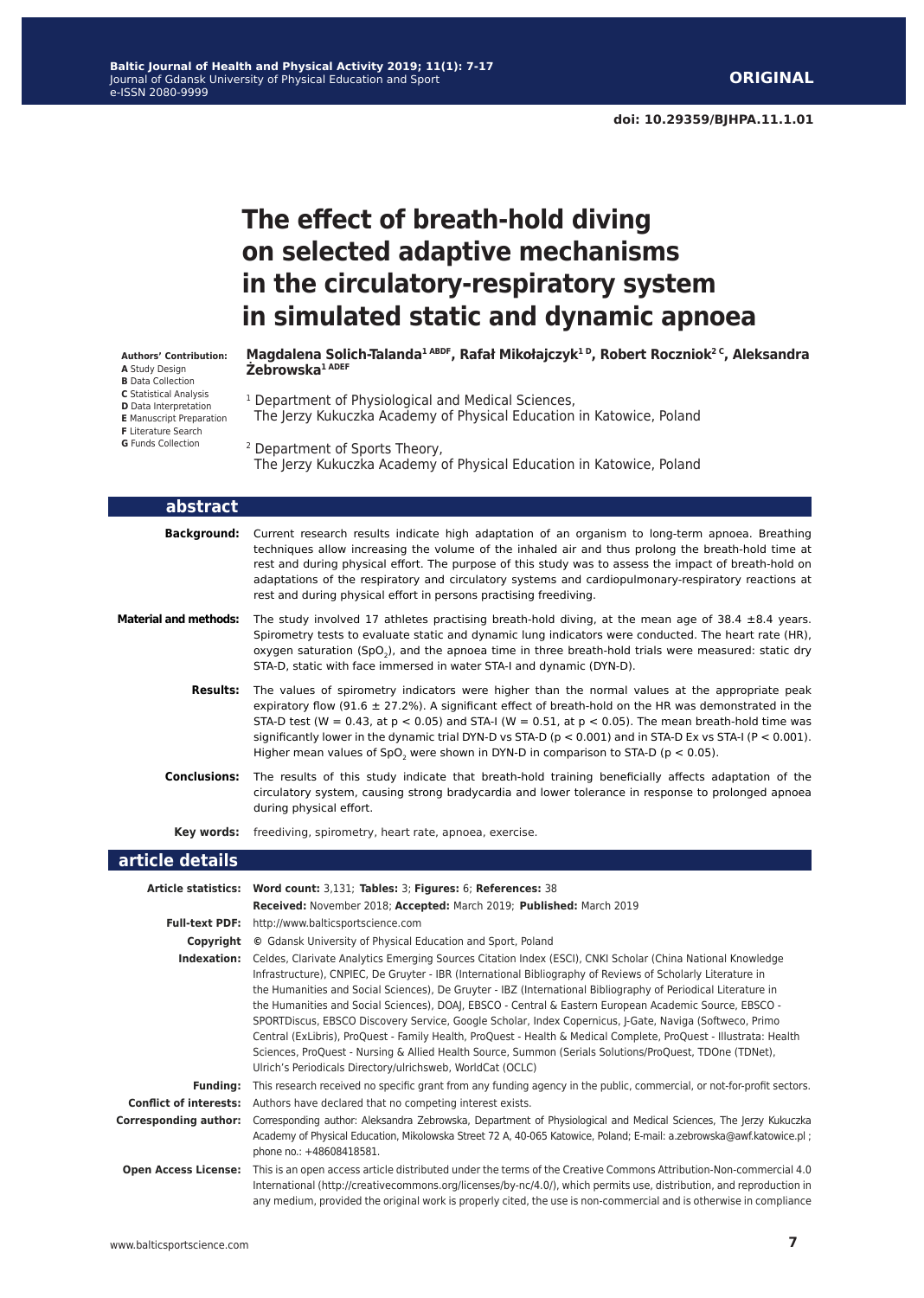**Żebrowska1 ADEF**

# **The effect of breath-hold diving on selected adaptive mechanisms in the circulatory-respiratory system in simulated static and dynamic apnoea**

**Magdalena Solich-Talanda1 ABDF, Rafał Mikołajczyk1 D, Robert Roczniok2 C, Aleksandra** 

**Authors' Contribution:**

- **A** Study Design **B** Data Collection
- **C** Statistical Analysis
- **D** Data Interpretation
- **E** Manuscript Preparation
- **F** Literature Search
- **G** Funds Collection

2 Department of Sports Theory, The Jerzy Kukuczka Academy of Physical Education in Katowice, Poland

The Jerzy Kukuczka Academy of Physical Education in Katowice, Poland

<sup>1</sup> Department of Physiological and Medical Sciences,

| abstract                     |                                                                                                                                                                                                                                                                                                                                                                                                                                                                                                                                                                                                                                                                                                                                                                                                                                                                                  |
|------------------------------|----------------------------------------------------------------------------------------------------------------------------------------------------------------------------------------------------------------------------------------------------------------------------------------------------------------------------------------------------------------------------------------------------------------------------------------------------------------------------------------------------------------------------------------------------------------------------------------------------------------------------------------------------------------------------------------------------------------------------------------------------------------------------------------------------------------------------------------------------------------------------------|
| Background:                  | Current research results indicate high adaptation of an organism to long-term apnoea. Breathing<br>techniques allow increasing the volume of the inhaled air and thus prolong the breath-hold time at<br>rest and during physical effort. The purpose of this study was to assess the impact of breath-hold on<br>adaptations of the respiratory and circulatory systems and cardiopulmonary-respiratory reactions at<br>rest and during physical effort in persons practising freediving.                                                                                                                                                                                                                                                                                                                                                                                       |
| <b>Material and methods:</b> | The study involved 17 athletes practising breath-hold diving, at the mean age of $38.4 \pm 8.4$ years.<br>Spirometry tests to evaluate static and dynamic lung indicators were conducted. The heart rate (HR),<br>oxygen saturation (SpO <sub>2</sub> ), and the apnoea time in three breath-hold trials were measured: static dry<br>STA-D, static with face immersed in water STA-I and dynamic (DYN-D).                                                                                                                                                                                                                                                                                                                                                                                                                                                                       |
| <b>Results:</b>              | The values of spirometry indicators were higher than the normal values at the appropriate peak<br>expiratory flow (91.6 $\pm$ 27.2%). A significant effect of breath-hold on the HR was demonstrated in the<br>STA-D test (W = 0.43, at $p < 0.05$ ) and STA-I (W = 0.51, at $p < 0.05$ ). The mean breath-hold time was<br>significantly lower in the dynamic trial DYN-D vs STA-D ( $p < 0.001$ ) and in STA-D Ex vs STA-I ( $P < 0.001$ ).<br>Higher mean values of SpO, were shown in DYN-D in comparison to STA-D ( $p < 0.05$ ).                                                                                                                                                                                                                                                                                                                                           |
| <b>Conclusions:</b>          | The results of this study indicate that breath-hold training beneficially affects adaptation of the<br>circulatory system, causing strong bradycardia and lower tolerance in response to prolonged apnoea<br>during physical effort.                                                                                                                                                                                                                                                                                                                                                                                                                                                                                                                                                                                                                                             |
|                              | Key words: freediving, spirometry, heart rate, apnoea, exercise.                                                                                                                                                                                                                                                                                                                                                                                                                                                                                                                                                                                                                                                                                                                                                                                                                 |
| article details              |                                                                                                                                                                                                                                                                                                                                                                                                                                                                                                                                                                                                                                                                                                                                                                                                                                                                                  |
|                              | Article statistics: Word count: 3,131; Tables: 3; Figures: 6; References: 38                                                                                                                                                                                                                                                                                                                                                                                                                                                                                                                                                                                                                                                                                                                                                                                                     |
|                              | Received: November 2018; Accepted: March 2019; Published: March 2019                                                                                                                                                                                                                                                                                                                                                                                                                                                                                                                                                                                                                                                                                                                                                                                                             |
|                              | Full-text PDF: http://www.balticsportscience.com                                                                                                                                                                                                                                                                                                                                                                                                                                                                                                                                                                                                                                                                                                                                                                                                                                 |
|                              | <b>Copyright</b> © Gdansk University of Physical Education and Sport, Poland                                                                                                                                                                                                                                                                                                                                                                                                                                                                                                                                                                                                                                                                                                                                                                                                     |
|                              | <b>Indexation:</b> Celdes, Clarivate Analytics Emerging Sources Citation Index (ESCI), CNKI Scholar (China National Knowledge<br>Infrastructure), CNPIEC, De Gruyter - IBR (International Bibliography of Reviews of Scholarly Literature in<br>the Humanities and Social Sciences), De Gruyter - IBZ (International Bibliography of Periodical Literature in<br>the Humanities and Social Sciences), DOAJ, EBSCO - Central & Eastern European Academic Source, EBSCO -<br>SPORTDiscus, EBSCO Discovery Service, Google Scholar, Index Copernicus, J-Gate, Naviga (Softweco, Primo<br>Central (ExLibris), ProQuest - Family Health, ProQuest - Health & Medical Complete, ProQuest - Illustrata: Health<br>Sciences, ProQuest - Nursing & Allied Health Source, Summon (Serials Solutions/ProQuest, TDOne (TDNet),<br>Ulrich's Periodicals Directory/ulrichsweb, WorldCat (OCLC) |
| <b>Funding:</b>              | This research received no specific grant from any funding agency in the public, commercial, or not-for-profit sectors.                                                                                                                                                                                                                                                                                                                                                                                                                                                                                                                                                                                                                                                                                                                                                           |
|                              | <b>Conflict of interests:</b> Authors have declared that no competing interest exists.                                                                                                                                                                                                                                                                                                                                                                                                                                                                                                                                                                                                                                                                                                                                                                                           |
| <b>Corresponding author:</b> | Corresponding author: Aleksandra Zebrowska, Department of Physiological and Medical Sciences, The Jerzy Kukuczka<br>Academy of Physical Education, Mikolowska Street 72 A, 40-065 Katowice, Poland; E-mail: a.zebrowska@awf.katowice.pl;<br>phone no.: +48608418581.                                                                                                                                                                                                                                                                                                                                                                                                                                                                                                                                                                                                             |
|                              |                                                                                                                                                                                                                                                                                                                                                                                                                                                                                                                                                                                                                                                                                                                                                                                                                                                                                  |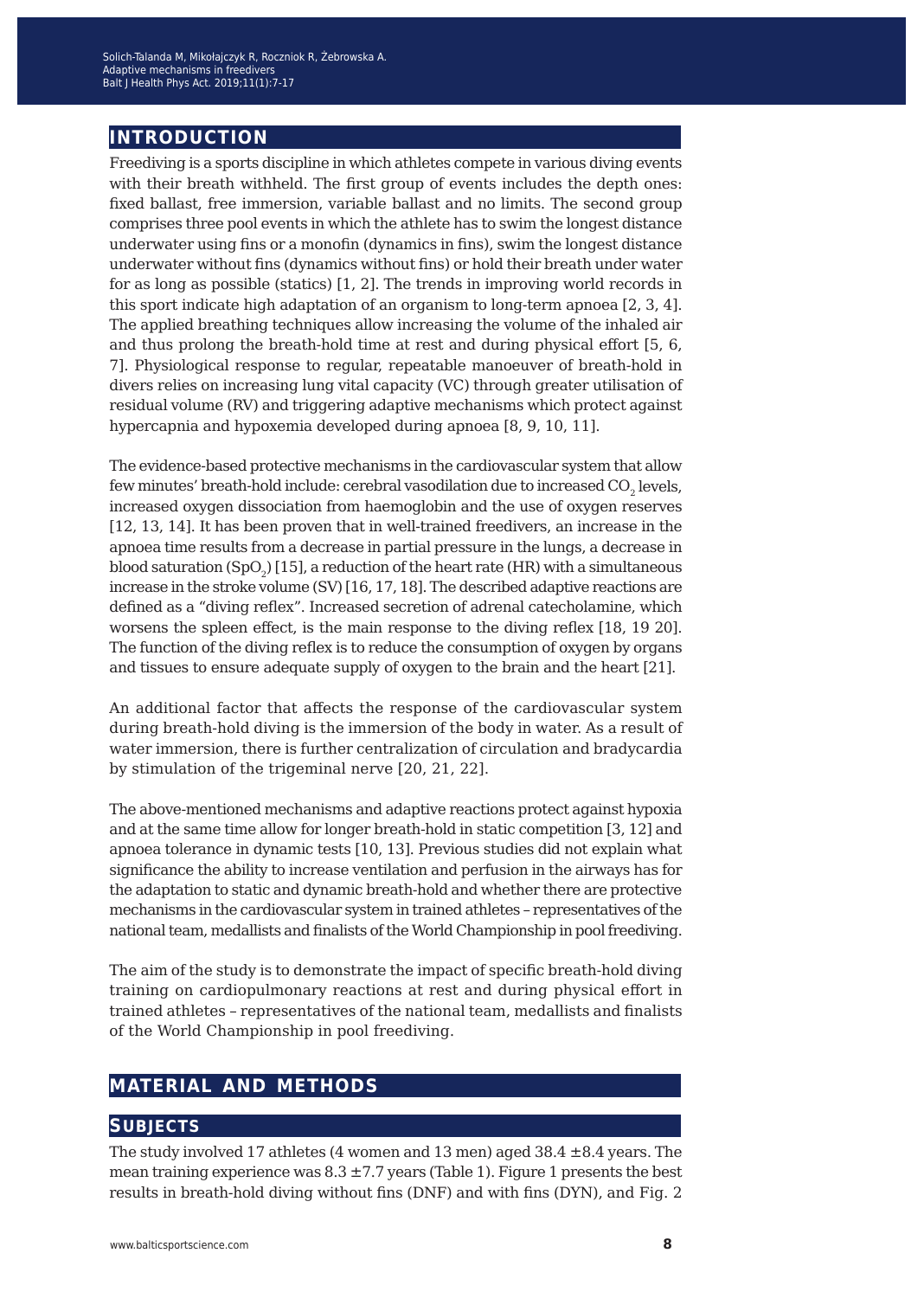# **introduction**

Freediving is a sports discipline in which athletes compete in various diving events with their breath withheld. The first group of events includes the depth ones: fixed ballast, free immersion, variable ballast and no limits. The second group comprises three pool events in which the athlete has to swim the longest distance underwater using fins or a monofin (dynamics in fins), swim the longest distance underwater without fins (dynamics without fins) or hold their breath under water for as long as possible (statics) [1, 2]. The trends in improving world records in this sport indicate high adaptation of an organism to long-term apnoea [2, 3, 4]. The applied breathing techniques allow increasing the volume of the inhaled air and thus prolong the breath-hold time at rest and during physical effort [5, 6, 7]. Physiological response to regular, repeatable manoeuver of breath-hold in divers relies on increasing lung vital capacity (VC) through greater utilisation of residual volume (RV) and triggering adaptive mechanisms which protect against hypercapnia and hypoxemia developed during apnoea [8, 9, 10, 11].

The evidence-based protective mechanisms in the cardiovascular system that allow few minutes' breath-hold include: cerebral vasodilation due to increased  $CO<sub>2</sub>$  levels, increased oxygen dissociation from haemoglobin and the use of oxygen reserves [12, 13, 14]. It has been proven that in well-trained freedivers, an increase in the apnoea time results from a decrease in partial pressure in the lungs, a decrease in blood saturation  $(SpO<sub>2</sub>)$  [15], a reduction of the heart rate (HR) with a simultaneous increase in the stroke volume (SV) [16, 17, 18]. The described adaptive reactions are defined as a "diving reflex". Increased secretion of adrenal catecholamine, which worsens the spleen effect, is the main response to the diving reflex [18, 19 20]. The function of the diving reflex is to reduce the consumption of oxygen by organs and tissues to ensure adequate supply of oxygen to the brain and the heart [21].

An additional factor that affects the response of the cardiovascular system during breath-hold diving is the immersion of the body in water. As a result of water immersion, there is further centralization of circulation and bradycardia by stimulation of the trigeminal nerve [20, 21, 22].

The above-mentioned mechanisms and adaptive reactions protect against hypoxia and at the same time allow for longer breath-hold in static competition [3, 12] and apnoea tolerance in dynamic tests [10, 13]. Previous studies did not explain what significance the ability to increase ventilation and perfusion in the airways has for the adaptation to static and dynamic breath-hold and whether there are protective mechanisms in the cardiovascular system in trained athletes – representatives of the national team, medallists and finalists of the World Championship in pool freediving.

The aim of the study is to demonstrate the impact of specific breath-hold diving training on cardiopulmonary reactions at rest and during physical effort in trained athletes – representatives of the national team, medallists and finalists of the World Championship in pool freediving.

# **material and methods**

#### **subjects**

The study involved 17 athletes (4 women and 13 men) aged  $38.4 \pm 8.4$  years. The mean training experience was  $8.3 \pm 7.7$  years (Table 1). Figure 1 presents the best results in breath-hold diving without fins (DNF) and with fins (DYN), and Fig. 2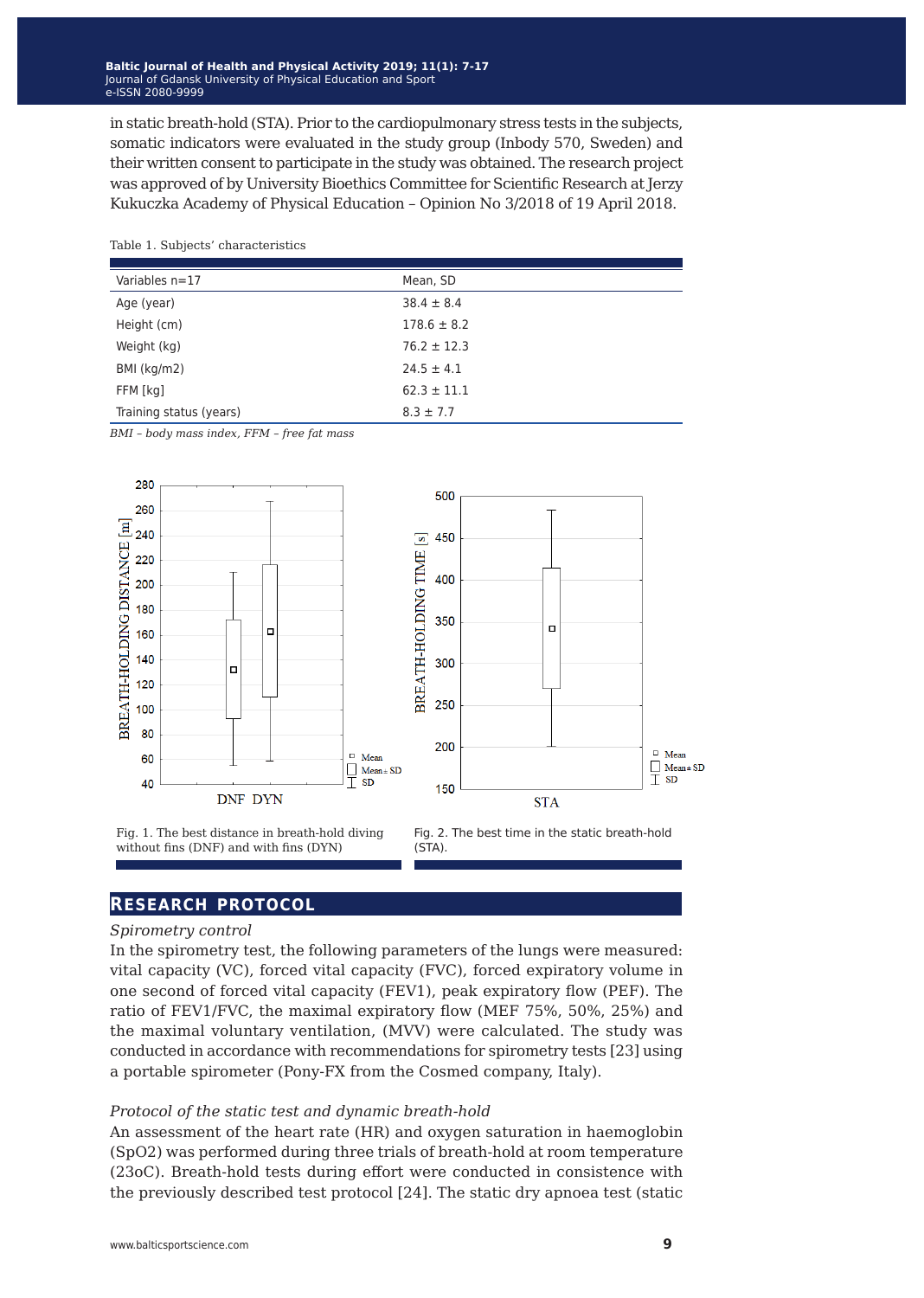in static breath-hold (STA). Prior to the cardiopulmonary stress tests in the subjects, somatic indicators were evaluated in the study group (Inbody 570, Sweden) and their written consent to participate in the study was obtained. The research project was approved of by University Bioethics Committee for Scientific Research at Jerzy Kukuczka Academy of Physical Education – Opinion No 3/2018 of 19 April 2018.

| Variables n=17          | Mean, SD        |
|-------------------------|-----------------|
| Age (year)              | $38.4 \pm 8.4$  |
| Height (cm)             | $178.6 \pm 8.2$ |
| Weight (kg)             | $76.2 \pm 12.3$ |
| BMI (kg/m2)             | $24.5 \pm 4.1$  |
| FFM [kg]                | $62.3 \pm 11.1$ |
| Training status (years) | $8.3 \pm 7.7$   |

*BMI – body mass index, FFM – free fat mass*







Fig. 2. The best time in the static breath-hold  $(STA)$ 

#### **research protocol**

#### *Spirometry control*

In the spirometry test, the following parameters of the lungs were measured: vital capacity (VC), forced vital capacity (FVC), forced expiratory volume in one second of forced vital capacity (FEV1), peak expiratory flow (PEF). The ratio of FEV1/FVC, the maximal expiratory flow (MEF 75%, 50%, 25%) and the maximal voluntary ventilation, (MVV) were calculated. The study was conducted in accordance with recommendations for spirometry tests [23] using a portable spirometer (Pony-FX from the Cosmed company, Italy).

#### *Protocol of the static test and dynamic breath-hold*

An assessment of the heart rate (HR) and oxygen saturation in haemoglobin (SpO2) was performed during three trials of breath-hold at room temperature (23oC). Breath-hold tests during effort were conducted in consistence with the previously described test protocol [24]. The static dry apnoea test (static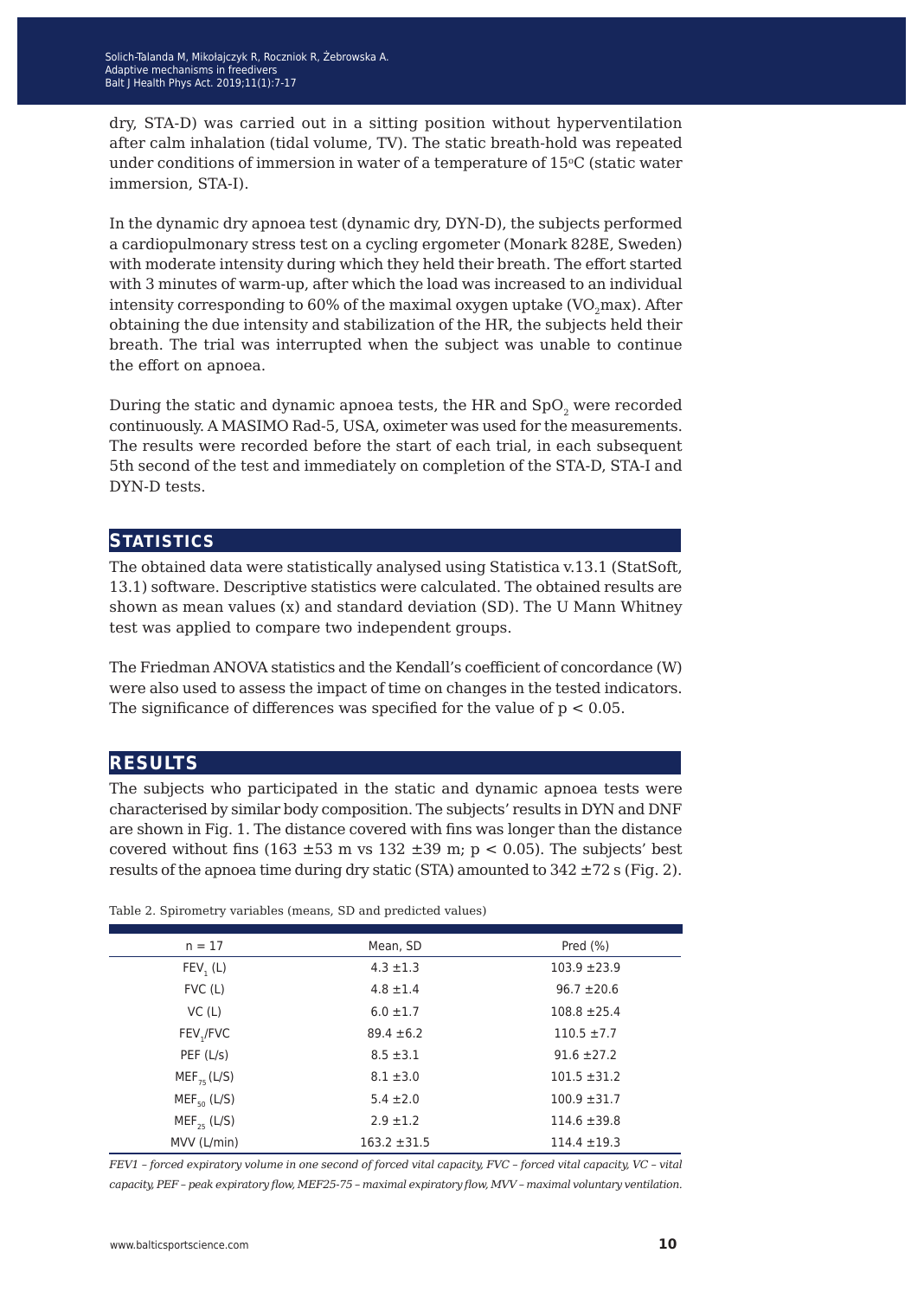dry, STA-D) was carried out in a sitting position without hyperventilation after calm inhalation (tidal volume, TV). The static breath-hold was repeated under conditions of immersion in water of a temperature of  $15^{\circ}$ C (static water immersion, STA-I).

In the dynamic dry apnoea test (dynamic dry, DYN-D), the subjects performed a cardiopulmonary stress test on a cycling ergometer (Monark 828E, Sweden) with moderate intensity during which they held their breath. The effort started with 3 minutes of warm-up, after which the load was increased to an individual intensity corresponding to 60% of the maximal oxygen uptake (VO<sub>2</sub>max). After obtaining the due intensity and stabilization of the HR, the subjects held their breath. The trial was interrupted when the subject was unable to continue the effort on apnoea.

During the static and dynamic apnoea tests, the HR and SpO<sub>2</sub> were recorded continuously. A MASIMO Rad-5, USA, oximeter was used for the measurements. The results were recorded before the start of each trial, in each subsequent 5th second of the test and immediately on completion of the STA-D, STA-I and DYN-D tests.

#### **STATISTICS**

The obtained data were statistically analysed using Statistica v.13.1 (StatSoft, 13.1) software. Descriptive statistics were calculated. The obtained results are shown as mean values (x) and standard deviation (SD). The U Mann Whitney test was applied to compare two independent groups.

The Friedman ANOVA statistics and the Kendall's coefficient of concordance (W) were also used to assess the impact of time on changes in the tested indicators. The significance of differences was specified for the value of  $p < 0.05$ .

## **results**

The subjects who participated in the static and dynamic apnoea tests were characterised by similar body composition. The subjects' results in DYN and DNF are shown in Fig. 1. The distance covered with fins was longer than the distance covered without fins (163  $\pm$ 53 m vs 132  $\pm$ 39 m; p < 0.05). The subjects' best results of the apnoea time during dry static (STA) amounted to  $342 \pm 72$  s (Fig. 2).

|  | Table 2. Spirometry variables (means, SD and predicted values) |  |  |  |
|--|----------------------------------------------------------------|--|--|--|
|  |                                                                |  |  |  |

| $n = 17$              | Mean, SD         | Pred $(\% )$     |
|-----------------------|------------------|------------------|
| FEV, (L)              | $4.3 \pm 1.3$    | $103.9 + 23.9$   |
| $FVC$ (L)             | $4.8 \pm 1.4$    | $96.7 \pm 20.6$  |
| VC(L)                 | $6.0 \pm 1.7$    | $108.8 \pm 25.4$ |
| FEV <sub>1</sub> /FVC | $89.4 \pm 6.2$   | $110.5 \pm 7.7$  |
| PEF (L/s)             | $8.5 \pm 3.1$    | $91.6 \pm 27.2$  |
| $MEF_{75}$ (L/S)      | $8.1 \pm 3.0$    | $101.5 \pm 31.2$ |
| $MEF_{50}$ (L/S)      | $5.4 \pm 2.0$    | $100.9 \pm 31.7$ |
| $MEF_{25}$ (L/S)      | $2.9 \pm 1.2$    | $114.6 \pm 39.8$ |
| MVV (L/min)           | $163.2 \pm 31.5$ | $114.4 \pm 19.3$ |

*FEV1 – forced expiratory volume in one second of forced vital capacity, FVC – forced vital capacity, VC – vital capacity, PEF – peak expiratory flow, MEF25-75 – maximal expiratory flow, MVV – maximal voluntary ventilation.*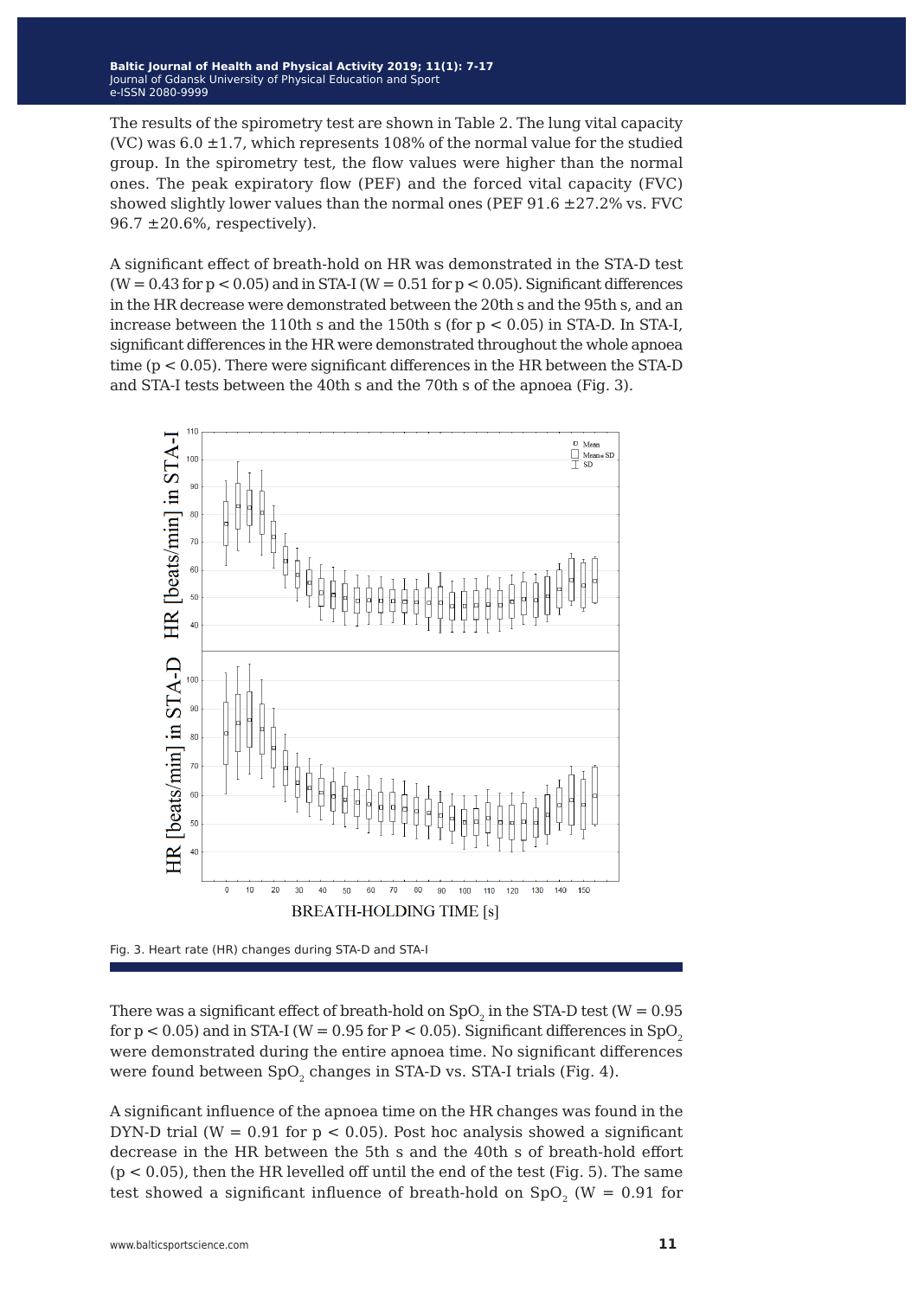The results of the spirometry test are shown in Table 2. The lung vital capacity (VC) was  $6.0 \pm 1.7$ , which represents 108% of the normal value for the studied group. In the spirometry test, the flow values were higher than the normal ones. The peak expiratory flow (PEF) and the forced vital capacity (FVC) showed slightly lower values than the normal ones (PEF  $91.6 \pm 27.2\%$  vs. FVC 96.7 ±20.6%, respectively).

A significant effect of breath-hold on HR was demonstrated in the STA-D test  $(W = 0.43$  for  $p < 0.05$ ) and in STA-I  $(W = 0.51$  for  $p < 0.05$ ). Significant differences in the HR decrease were demonstrated between the 20th s and the 95th s, and an increase between the 110th s and the 150th s (for p < 0.05) in STA-D. In STA-I, significant differences in the HR were demonstrated throughout the whole apnoea time (p < 0.05). There were significant differences in the HR between the STA-D and STA-I tests between the 40th s and the 70th s of the apnoea (Fig. 3).



Fig. 3. Heart rate (HR) changes during STA-D and STA-I

There was a significant effect of breath-hold on  $SpO<sub>2</sub>$  in the STA-D test (W = 0.95 for  $p < 0.05$ ) and in STA-I (W = 0.95 for P < 0.05). Significant differences in SpO<sub>2</sub> were demonstrated during the entire apnoea time. No significant differences were found between  $SpO<sub>2</sub>$  changes in STA-D vs. STA-I trials (Fig. 4).

A significant influence of the apnoea time on the HR changes was found in the DYN-D trial (W =  $0.91$  for  $p < 0.05$ ). Post hoc analysis showed a significant decrease in the HR between the 5th s and the 40th s of breath-hold effort  $(p < 0.05)$ , then the HR levelled off until the end of the test (Fig. 5). The same test showed a significant influence of breath-hold on  $SpO<sub>2</sub>$  (W = 0.91 for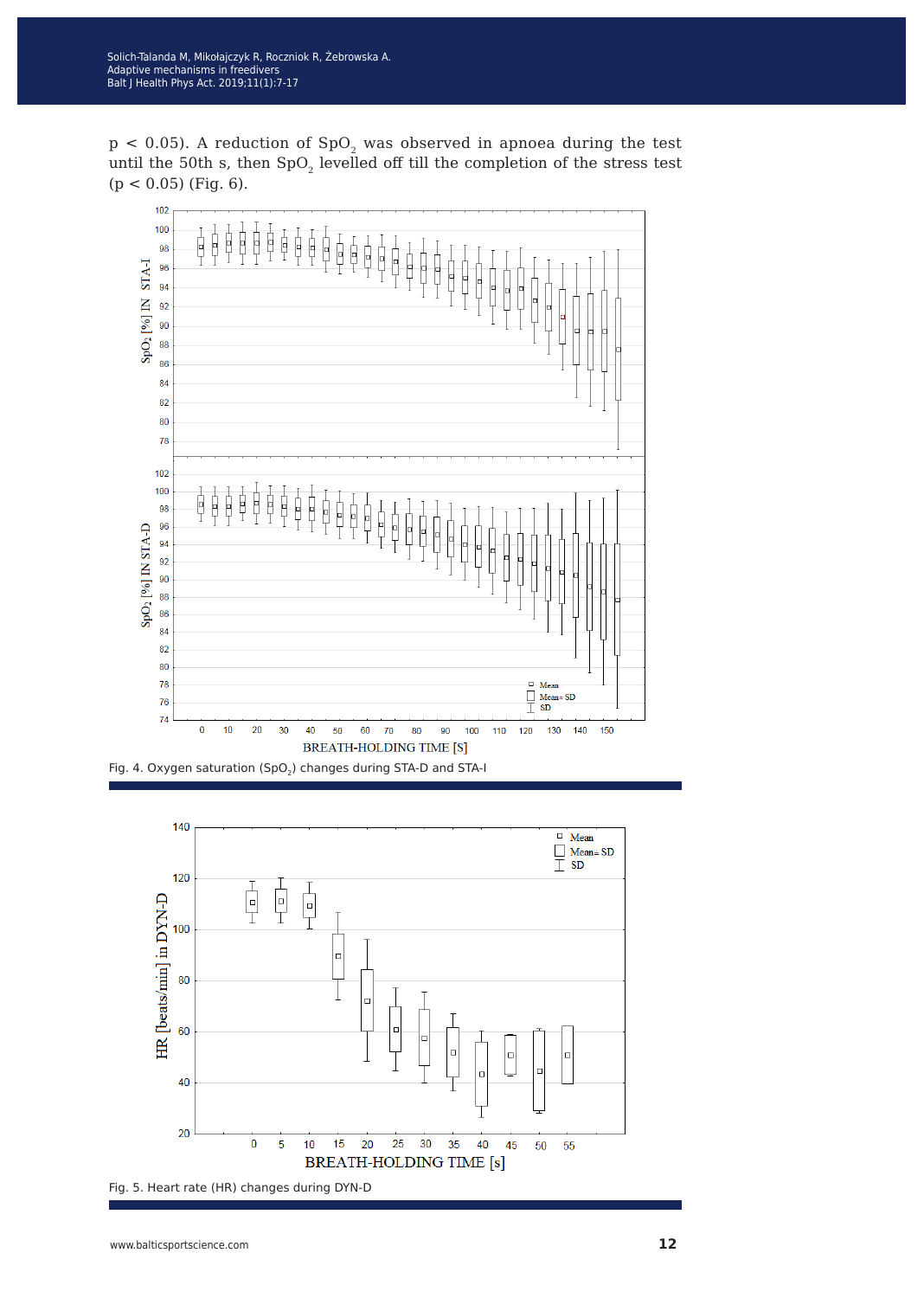$p < 0.05$ ). A reduction of SpO<sub>2</sub> was observed in apnoea during the test until the 50th s, then  $SpO<sub>2</sub>$  levelled off till the completion of the stress test  $(p < 0.05)$  (Fig. 6).





Fig. 5. Heart rate (HR) changes during DYN-D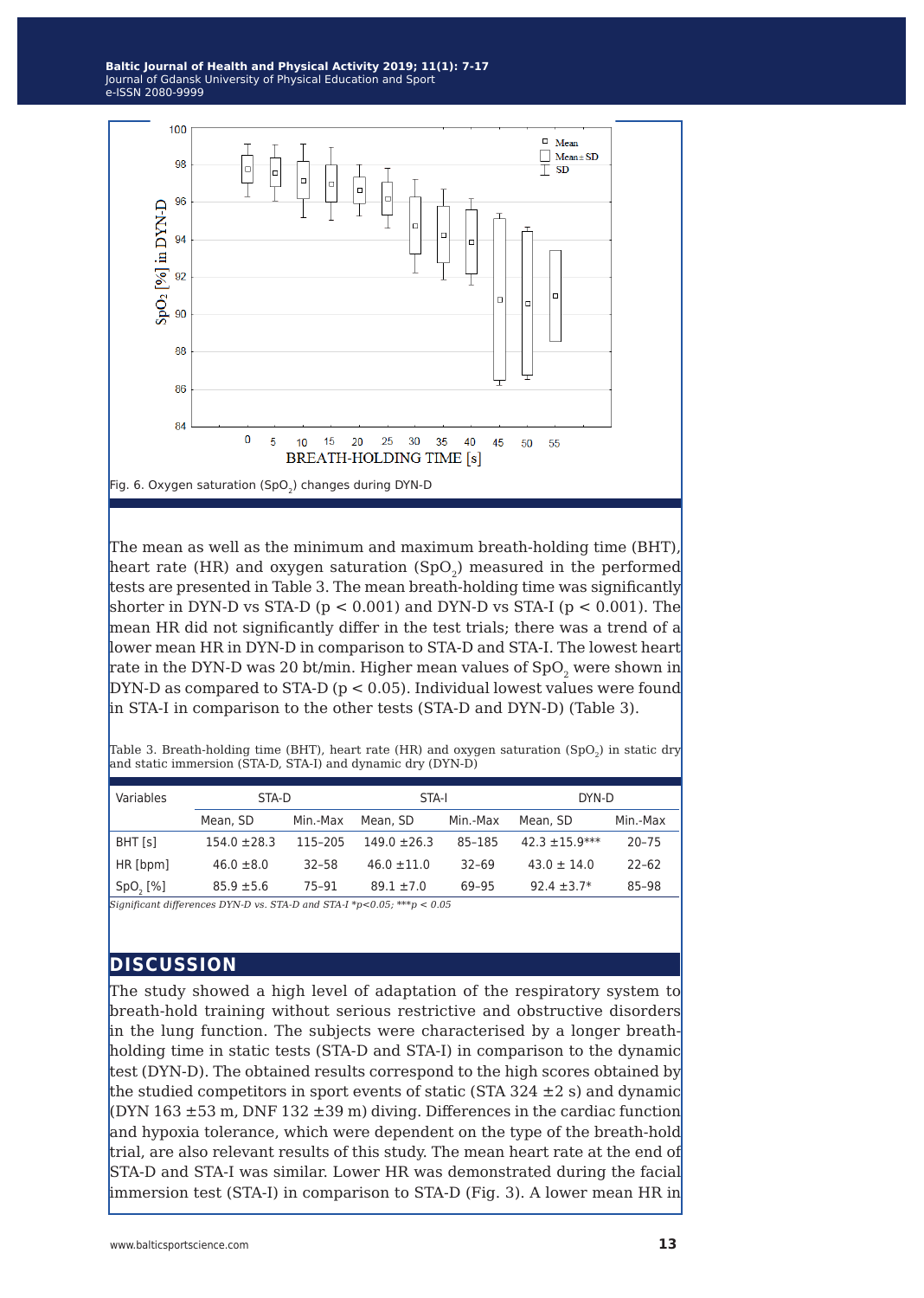**Baltic Journal of Health and Physical Activity 2014; 1(1): 1-4 Baltic Journal of Health and Physical Activity 2019; 11(1): 7-17** Journal of Gdansk University of Physical Education and Sport Journal of Gdansk University of Physical Education and Sport e-ISSN 2080-9999 e-ISSN 2080-9999



The mean as well as the minimum and maximum breath-holding time (BHT), heart rate (HR) and oxygen saturation (SpO<sub>2</sub>) measured in the performed tests are presented in Table 3. The mean breath-holding time was significantly shorter in DYN-D vs STA-D ( $p < 0.001$ ) and DYN-D vs STA-I ( $p < 0.001$ ). The mean HR did not significantly differ in the test trials; there was a trend of a lower mean HR in DYN-D in comparison to STA-D and STA-I. The lowest heart rate in the DYN-D was 20 bt/min. Higher mean values of  $SpO$ , were shown in DYN-D as compared to STA-D (p < 0.05). Individual lowest values were found in STA-I in comparison to the other tests (STA-D and DYN-D) (Table 3).

Table 3. Breath-holding time (BHT), heart rate (HR) and oxygen saturation (SpO<sub>2</sub>) in static dry and static immersion (STA-D, STA-I) and dynamic dry (DYN-D)

| Variables                    | STA-D            |           | STA-I            |           | DYN-D              |           |
|------------------------------|------------------|-----------|------------------|-----------|--------------------|-----------|
|                              | Mean, SD         | Min.-Max  | Mean, SD         | Min.-Max  | Mean, SD           | Min.-Max  |
| BHT [s]                      | $154.0 \pm 28.3$ | 115-205   | $149.0 \pm 26.3$ | 85-185    | $42.3 \pm 15.9***$ | $20 - 75$ |
| $HR$ [bpm]                   | $46.0 \pm 8.0$   | $32 - 58$ | $46.0 \pm 11.0$  | $32 - 69$ | $43.0 \pm 14.0$    | $22 - 62$ |
| $\vert$ SpO <sub>2</sub> [%] | $85.9 \pm 5.6$   | 75-91     | $89.1 + 7.0$     | 69-95     | $92.4 \pm 3.7*$    | 85-98     |

*Significant differences DYN-D vs. STA-D and STA-I \*p<0.05; \*\*\*p < 0.05*

### **discussion**

The study showed a high level of adaptation of the respiratory system to breath-hold training without serious restrictive and obstructive disorders in the lung function. The subjects were characterised by a longer breathholding time in static tests (STA-D and STA-I) in comparison to the dynamic test (DYN-D). The obtained results correspond to the high scores obtained by the studied competitors in sport events of static (STA 324  $\pm$ 2 s) and dynamic (DYN 163  $\pm$ 53 m, DNF 132  $\pm$ 39 m) diving. Differences in the cardiac function and hypoxia tolerance, which were dependent on the type of the breath-hold trial, are also relevant results of this study. The mean heart rate at the end of STA-D and STA-I was similar. Lower HR was demonstrated during the facial immersion test (STA-I) in comparison to STA-D (Fig. 3). A lower mean HR in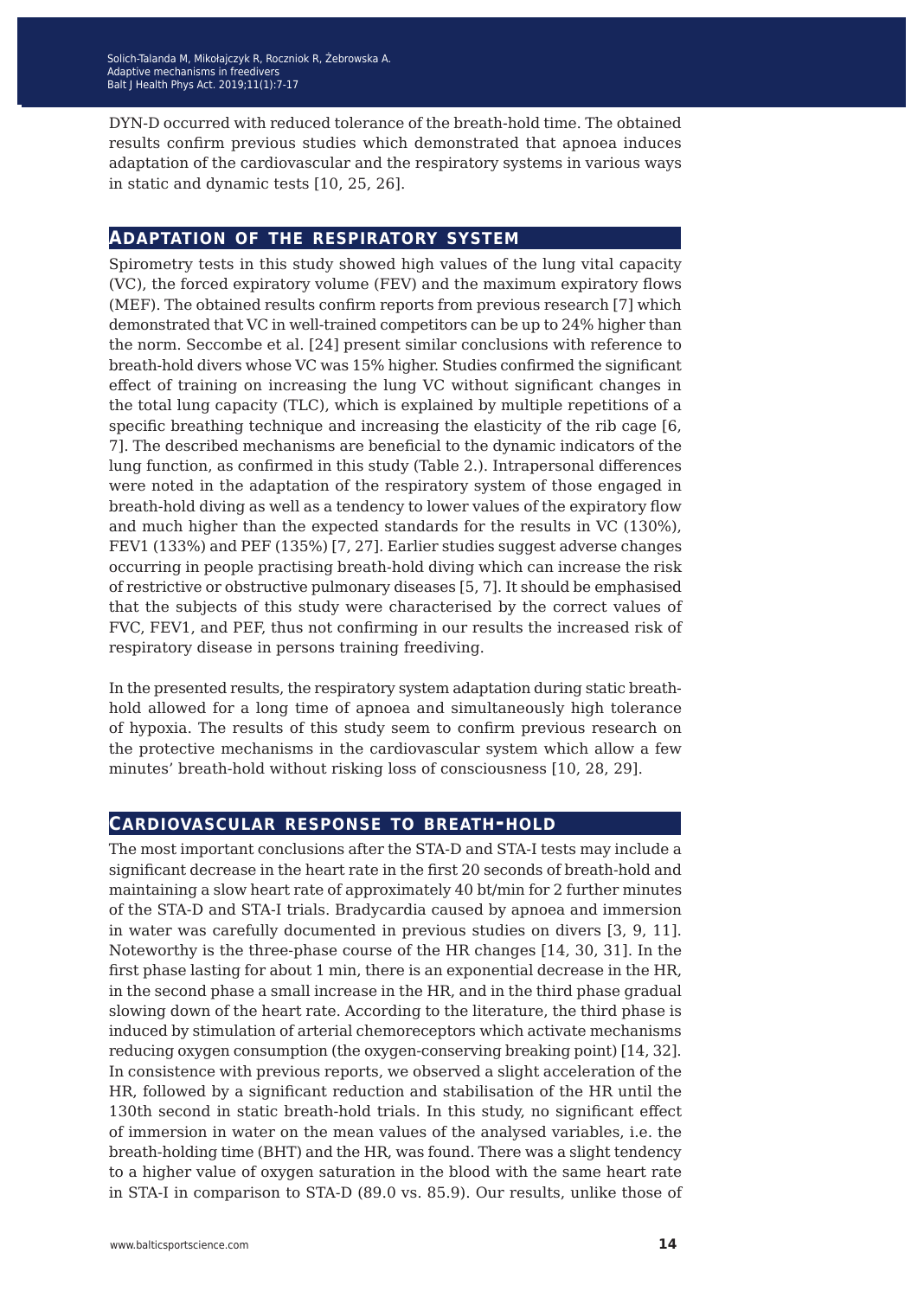DYN-D occurred with reduced tolerance of the breath-hold time. The obtained results confirm previous studies which demonstrated that apnoea induces adaptation of the cardiovascular and the respiratory systems in various ways in static and dynamic tests [10, 25, 26].

### **adaptation of the respiratory system**

Spirometry tests in this study showed high values of the lung vital capacity (VC), the forced expiratory volume (FEV) and the maximum expiratory flows (MEF). The obtained results confirm reports from previous research [7] which demonstrated that VC in well-trained competitors can be up to 24% higher than the norm. Seccombe et al. [24] present similar conclusions with reference to breath-hold divers whose VC was 15% higher. Studies confirmed the significant effect of training on increasing the lung VC without significant changes in the total lung capacity (TLC), which is explained by multiple repetitions of a specific breathing technique and increasing the elasticity of the rib cage [6, 7]. The described mechanisms are beneficial to the dynamic indicators of the lung function, as confirmed in this study (Table 2.). Intrapersonal differences were noted in the adaptation of the respiratory system of those engaged in breath-hold diving as well as a tendency to lower values of the expiratory flow and much higher than the expected standards for the results in VC (130%), FEV1 (133%) and PEF (135%) [7, 27]. Earlier studies suggest adverse changes occurring in people practising breath-hold diving which can increase the risk of restrictive or obstructive pulmonary diseases [5, 7]. It should be emphasised that the subjects of this study were characterised by the correct values of FVC, FEV1, and PEF, thus not confirming in our results the increased risk of respiratory disease in persons training freediving.

In the presented results, the respiratory system adaptation during static breathhold allowed for a long time of apnoea and simultaneously high tolerance of hypoxia. The results of this study seem to confirm previous research on the protective mechanisms in the cardiovascular system which allow a few minutes' breath-hold without risking loss of consciousness [10, 28, 29].

#### **cardiovascular response to breath-hold**

The most important conclusions after the STA-D and STA-I tests may include a significant decrease in the heart rate in the first 20 seconds of breath-hold and maintaining a slow heart rate of approximately 40 bt/min for 2 further minutes of the STA-D and STA-I trials. Bradycardia caused by apnoea and immersion in water was carefully documented in previous studies on divers [3, 9, 11]. Noteworthy is the three-phase course of the HR changes [14, 30, 31]. In the first phase lasting for about 1 min, there is an exponential decrease in the HR, in the second phase a small increase in the HR, and in the third phase gradual slowing down of the heart rate. According to the literature, the third phase is induced by stimulation of arterial chemoreceptors which activate mechanisms reducing oxygen consumption (the oxygen-conserving breaking point) [14, 32]. In consistence with previous reports, we observed a slight acceleration of the HR, followed by a significant reduction and stabilisation of the HR until the 130th second in static breath-hold trials. In this study, no significant effect of immersion in water on the mean values of the analysed variables, i.e. the breath-holding time (BHT) and the HR, was found. There was a slight tendency to a higher value of oxygen saturation in the blood with the same heart rate in STA-I in comparison to STA-D (89.0 vs. 85.9). Our results, unlike those of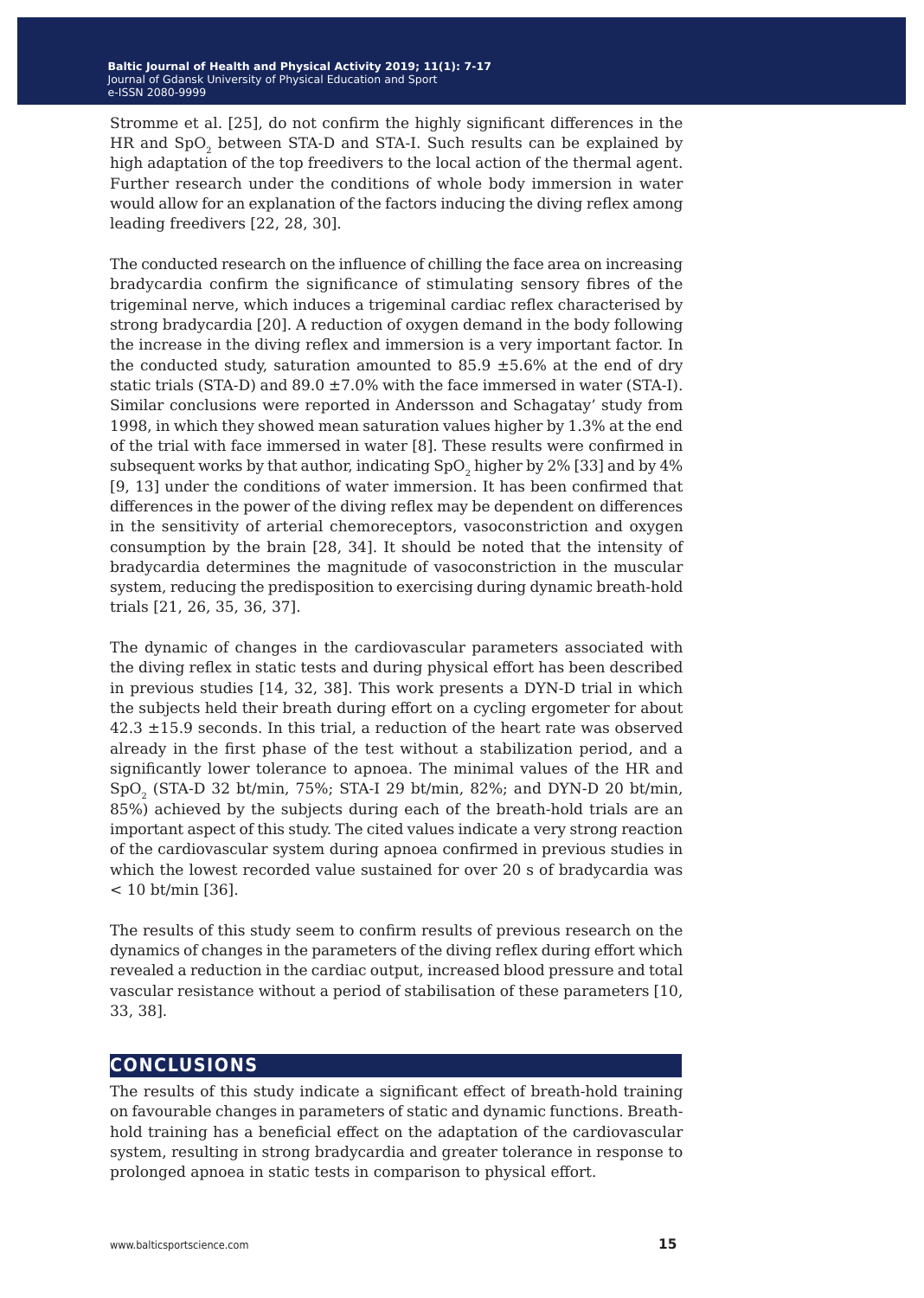Stromme et al. [25], do not confirm the highly significant differences in the HR and  $SpO<sub>2</sub>$  between STA-D and STA-I. Such results can be explained by high adaptation of the top freedivers to the local action of the thermal agent. Further research under the conditions of whole body immersion in water would allow for an explanation of the factors inducing the diving reflex among leading freedivers [22, 28, 30].

The conducted research on the influence of chilling the face area on increasing bradycardia confirm the significance of stimulating sensory fibres of the trigeminal nerve, which induces a trigeminal cardiac reflex characterised by strong bradycardia [20]. A reduction of oxygen demand in the body following the increase in the diving reflex and immersion is a very important factor. In the conducted study, saturation amounted to  $85.9 \pm 5.6\%$  at the end of dry static trials (STA-D) and 89.0 ±7.0% with the face immersed in water (STA-I). Similar conclusions were reported in Andersson and Schagatay' study from 1998, in which they showed mean saturation values higher by 1.3% at the end of the trial with face immersed in water [8]. These results were confirmed in subsequent works by that author, indicating  $SpO_2$  higher by 2% [33] and by 4% [9, 13] under the conditions of water immersion. It has been confirmed that differences in the power of the diving reflex may be dependent on differences in the sensitivity of arterial chemoreceptors, vasoconstriction and oxygen consumption by the brain [28, 34]. It should be noted that the intensity of bradycardia determines the magnitude of vasoconstriction in the muscular system, reducing the predisposition to exercising during dynamic breath-hold trials [21, 26, 35, 36, 37].

The dynamic of changes in the cardiovascular parameters associated with the diving reflex in static tests and during physical effort has been described in previous studies [14, 32, 38]. This work presents a DYN-D trial in which the subjects held their breath during effort on a cycling ergometer for about  $42.3 \pm 15.9$  seconds. In this trial, a reduction of the heart rate was observed already in the first phase of the test without a stabilization period, and a significantly lower tolerance to apnoea. The minimal values of the HR and SpO<sub>2</sub> (STA-D 32 bt/min, 75%; STA-I 29 bt/min, 82%; and DYN-D 20 bt/min, 85%) achieved by the subjects during each of the breath-hold trials are an important aspect of this study. The cited values indicate a very strong reaction of the cardiovascular system during apnoea confirmed in previous studies in which the lowest recorded value sustained for over 20 s of bradycardia was < 10 bt/min [36].

The results of this study seem to confirm results of previous research on the dynamics of changes in the parameters of the diving reflex during effort which revealed a reduction in the cardiac output, increased blood pressure and total vascular resistance without a period of stabilisation of these parameters [10, 33, 38].

# **conclusions**

The results of this study indicate a significant effect of breath-hold training on favourable changes in parameters of static and dynamic functions. Breathhold training has a beneficial effect on the adaptation of the cardiovascular system, resulting in strong bradycardia and greater tolerance in response to prolonged apnoea in static tests in comparison to physical effort.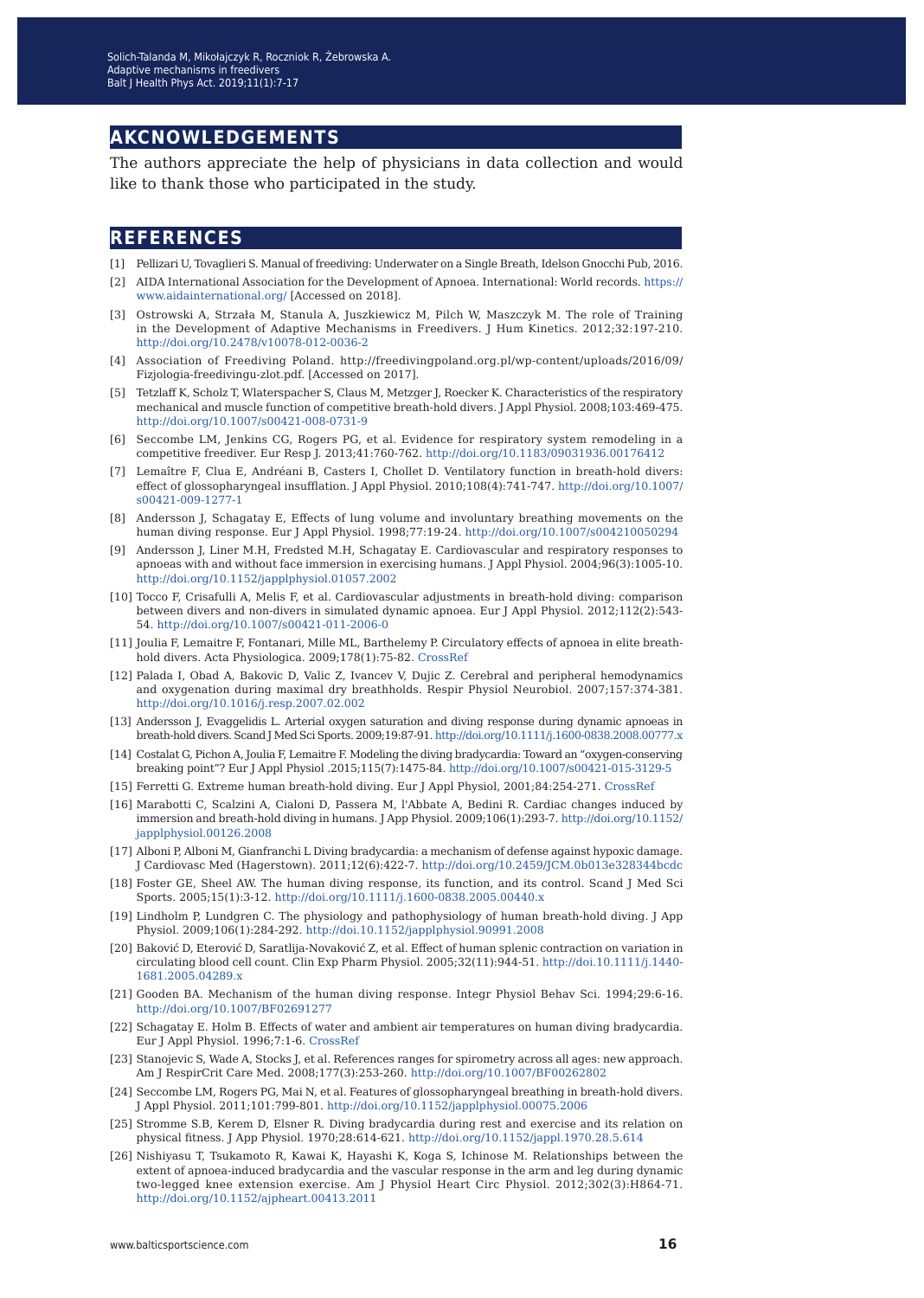### **akcnowledgements**

The authors appreciate the help of physicians in data collection and would like to thank those who participated in the study.

### **references**

- [1] Pellizari U, Tovaglieri S. Manual of freediving: Underwater on a Single Breath, Idelson Gnocchi Pub, 2016.
- [2] AIDA International Association for the Development of Apnoea. International: World records. https:// www.aidainternational.org/ [Accessed on 2018].
- [3] Ostrowski A, Strzała M, Stanula A, Juszkiewicz M, Pilch W, Maszczyk M. The role of Training in the Development of Adaptive Mechanisms in Freedivers. J Hum Kinetics. 2012;32:197-210. <http://doi.org/10.2478/v10078-012-0036-2>
- [4] Association of Freediving Poland. http://freedivingpoland.org.pl/wp-content/uploads/2016/09/ Fizjologia-freedivingu-zlot.pdf. [Accessed on 2017].
- [5] Tetzlaff K, Scholz T, Wlaterspacher S, Claus M, Metzger J, Roecker K. Characteristics of the respiratory mechanical and muscle function of competitive breath-hold divers. J Appl Physiol. 2008;103:469-475. <http://doi.org/10.1007/s00421-008-0731-9>
- [6] Seccombe LM, Jenkins CG, Rogers PG, et al. Evidence for respiratory system remodeling in a competitive freediver. Eur Resp J. 2013;41:760-762.<http://doi.org/10.1183/09031936.00176412>
- [7] Lemaître F, Clua E, Andréani B, Casters I, Chollet D. Ventilatory function in breath-hold divers: effect of glossopharyngeal insufflation. J Appl Physiol. 2010;108(4):741-747. [http://doi.org/10.1007/](http://doi.org/10.1007/s00421-009-1277-1) [s00421-009-1277-1](http://doi.org/10.1007/s00421-009-1277-1)
- [8] Andersson J, Schagatay E, Effects of lung volume and involuntary breathing movements on the human diving response. Eur J Appl Physiol. 1998;77:19-24. <http://doi.org/10.1007/s004210050294>
- [9] Andersson J, Liner M.H, Fredsted M.H, Schagatay E. Cardiovascular and respiratory responses to apnoeas with and without face immersion in exercising humans. J Appl Physiol. 2004;96(3):1005-10. <http://doi.org/10.1152/japplphysiol.01057.2002>
- [10] Tocco F, Crisafulli A, Melis F, et al. Cardiovascular adjustments in breath-hold diving: comparison between divers and non-divers in simulated dynamic apnoea. Eur J Appl Physiol. 2012;112(2):543- 54.<http://doi.org/10.1007/s00421-011-2006-0>
- [11] Joulia F, Lemaitre F, Fontanari, Mille ML, Barthelemy P. Circulatory effects of apnoea in elite breath‐ hold divers. Acta Physiologica. 2009;178(1):75-82. [CrossRef](http://doi.org/10.1111/j.1748-1716.2009.01982.x)
- [12] Palada I, Obad A, Bakovic D, Valic Z, Ivancev V, Dujic Z. Cerebral and peripheral hemodynamics and oxygenation during maximal dry breathholds. Respir Physiol Neurobiol. 2007;157:374-381. <http://doi.org/10.1016/j.resp.2007.02.002>
- [13] Andersson J, Evaggelidis L. Arterial oxygen saturation and diving response during dynamic apnoeas in breath-hold divers. Scand J Med Sci Sports. 2009;19:87-91.<http://doi.org/10.1111/j.1600-0838.2008.00777.x>
- [14] Costalat G, Pichon A, Joulia F, Lemaitre F. Modeling the diving bradycardia: Toward an "oxygen-conserving breaking point"? Eur J Appl Physiol .2015;115(7):1475-84.<http://doi.org/10.1007/s00421-015-3129-5>
- [15] Ferretti G. Extreme human breath-hold diving. Eur J Appl Physiol, 2001;84:254-271. [CrossRef](http://doi.org/10.1007/s004210000377)
- [16] Marabotti C, Scalzini A, Cialoni D, Passera M, l'Abbate A, Bedini R. Cardiac changes induced by immersion and breath-hold diving in humans. J App Physiol. 2009;106(1):293-7. [http://doi.org/10.1152/](http://doi.org/10.1152/japplphysiol.00126.2008) [japplphysiol.00126.2008](http://doi.org/10.1152/japplphysiol.00126.2008)
- [17] Alboni P, Alboni M, Gianfranchi L Diving bradycardia: a mechanism of defense against hypoxic damage. J Cardiovasc Med (Hagerstown). 2011;12(6):422-7. <http://doi.org/10.2459/JCM.0b013e328344bcdc>
- [18] Foster GE, Sheel AW. The human diving response, its function, and its control. Scand J Med Sci Sports. 2005;15(1):3-12.<http://doi.org/10.1111/j.1600-0838.2005.00440.x>
- [19] Lindholm P, Lundgren C. The physiology and pathophysiology of human breath-hold diving. J App Physiol. 2009;106(1):284-292.<http://doi.10.1152/japplphysiol.90991.2008>
- [20] Baković D, Eterović D, Saratlija-Novaković Z, et al. Effect of human splenic contraction on variation in circulating blood cell count. Clin Exp Pharm Physiol. 2005;32(11):944-51. [http://doi.10.1111/j.1440-](http://doi.10.1111/j.1440-1681.2005.04289.x) [1681.2005.04289.x](http://doi.10.1111/j.1440-1681.2005.04289.x)
- [21] Gooden BA. Mechanism of the human diving response. Integr Physiol Behav Sci. 1994;29:6-16. <http://doi.org/10.1007/BF02691277>
- [22] Schagatay E. Holm B. Effects of water and ambient air temperatures on human diving bradycardia. Eur J Appl Physiol. 1996;7:1-6. [CrossRef](http://doi.org/10.1007/BF00262802)
- [23] Stanojevic S, Wade A, Stocks J, et al. References ranges for spirometry across all ages: new approach. Am J RespirCrit Care Med. 2008;177(3):253-260. <http://doi.org/10.1007/BF00262802>
- [24] Seccombe LM, Rogers PG, Mai N, et al. Features of glossopharyngeal breathing in breath-hold divers. J Appl Physiol. 2011;101:799-801. <http://doi.org/10.1152/japplphysiol.00075.2006>
- [25] Stromme S.B, Kerem D, Elsner R. Diving bradycardia during rest and exercise and its relation on physical fitness. J App Physiol. 1970;28:614-621.<http://doi.org/10.1152/jappl.1970.28.5.614>
- [26] Nishiyasu T, Tsukamoto R, Kawai K, Hayashi K, Koga S, Ichinose M. Relationships between the extent of apnoea-induced bradycardia and the vascular response in the arm and leg during dynamic two-legged knee extension exercise. Am J Physiol Heart Circ Physiol. 2012;302(3):H864-71. <http://doi.org/10.1152/ajpheart.00413.2011>